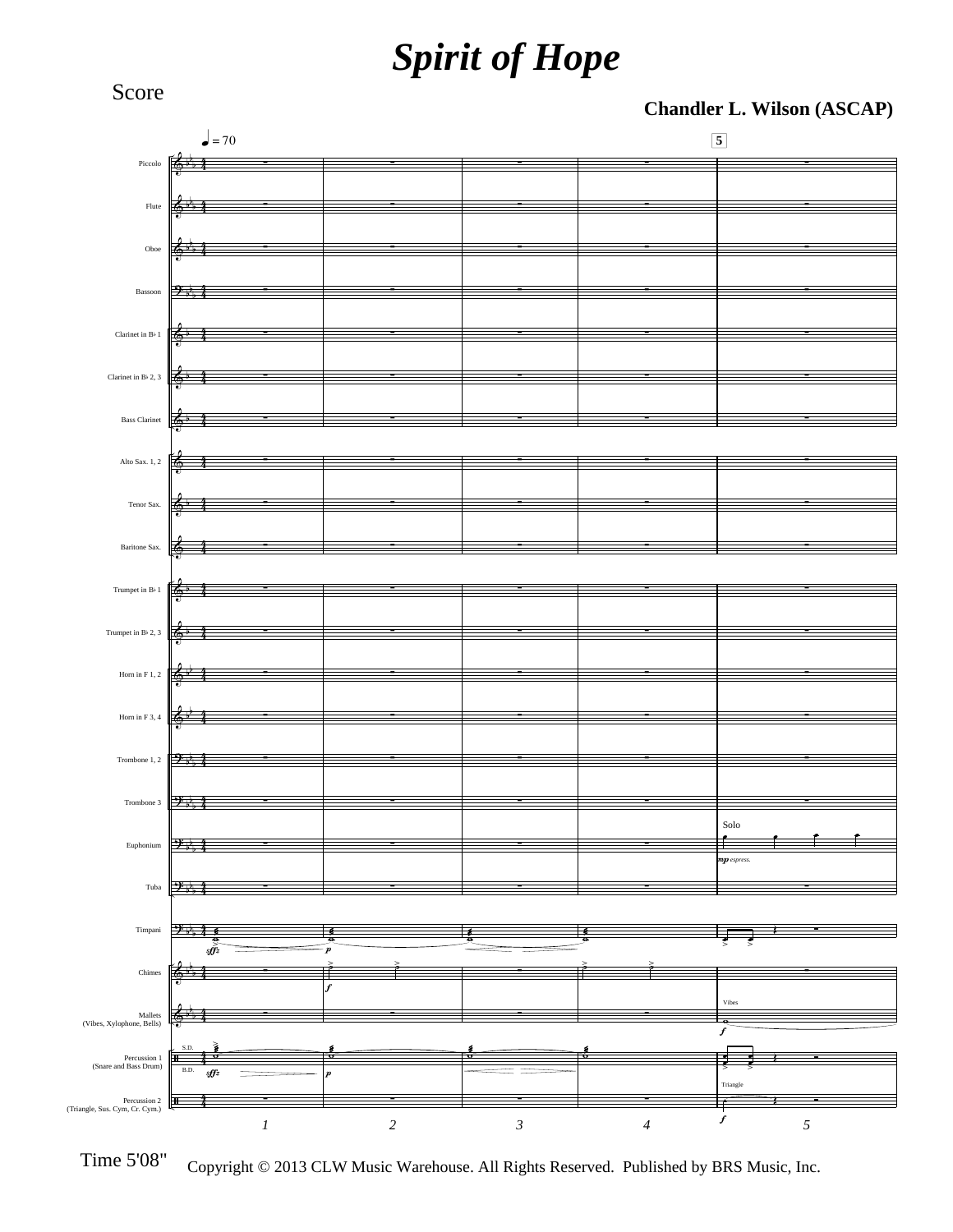

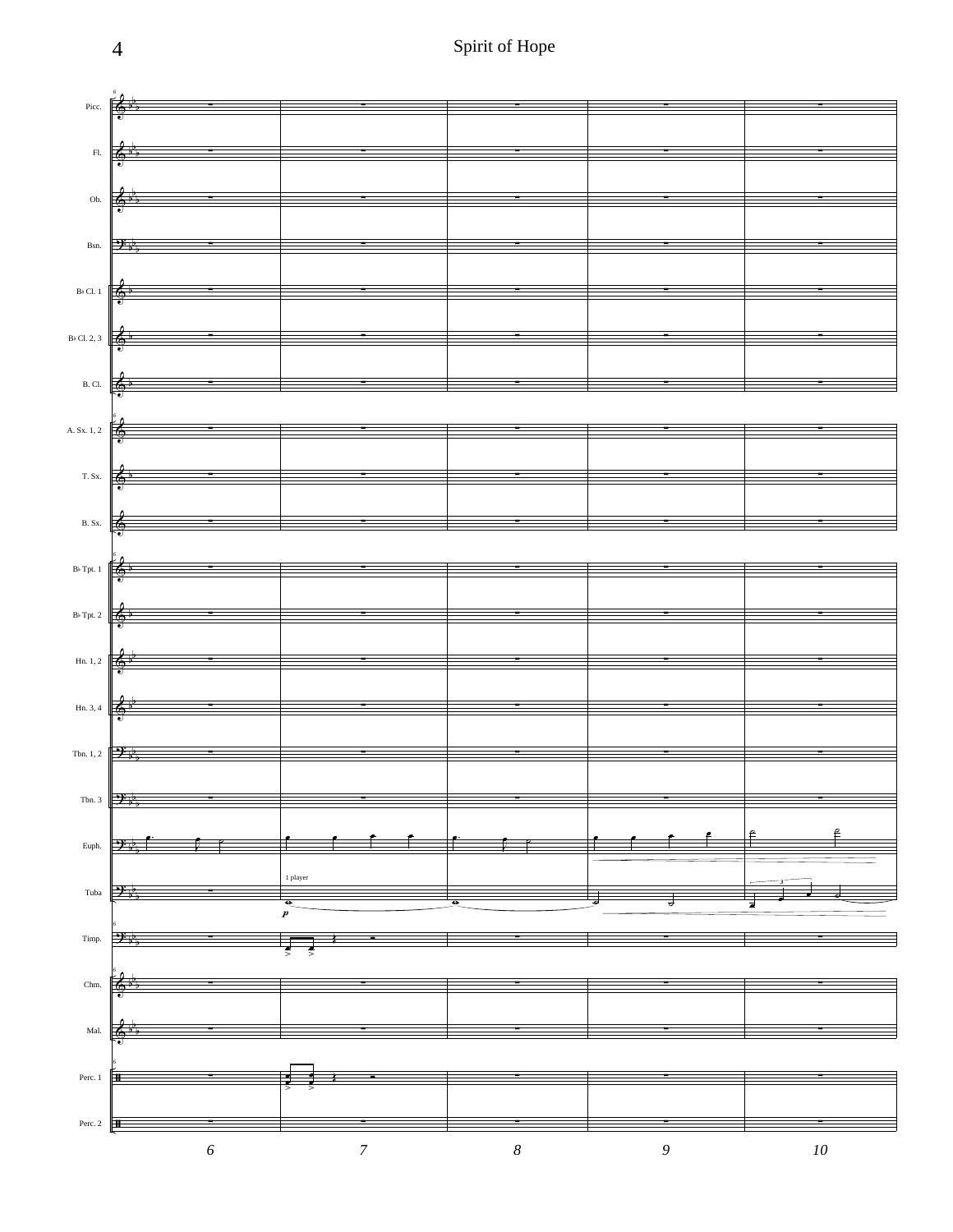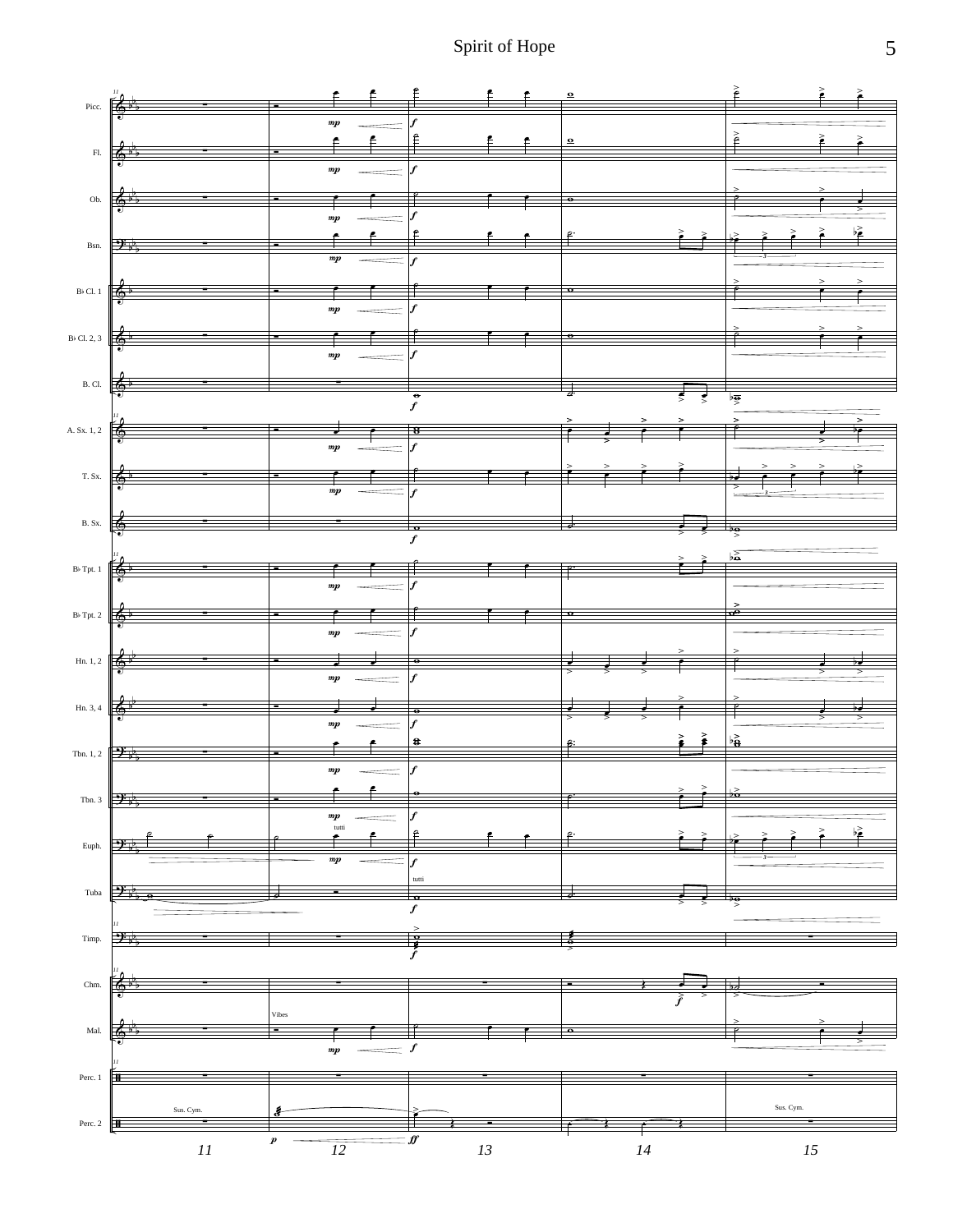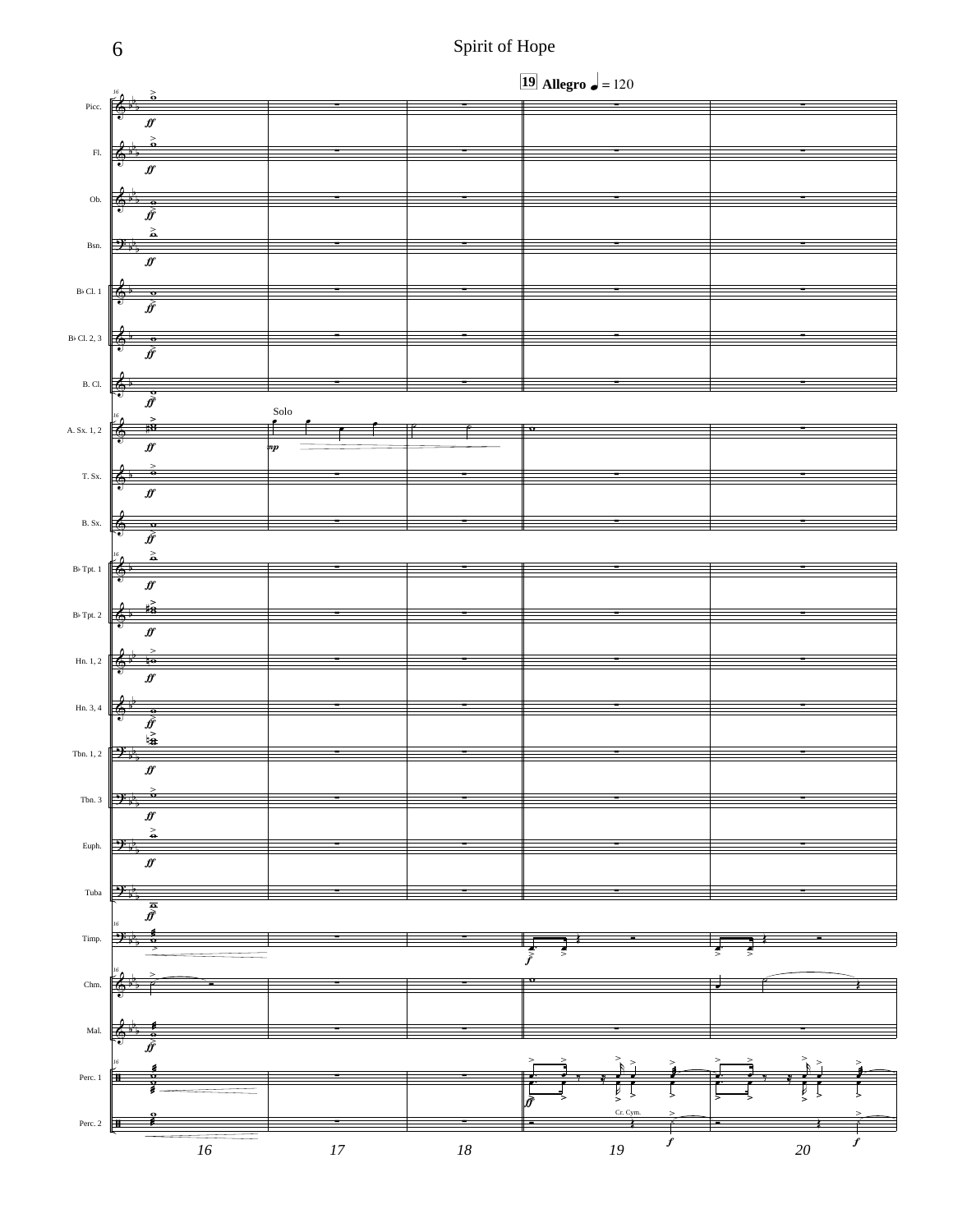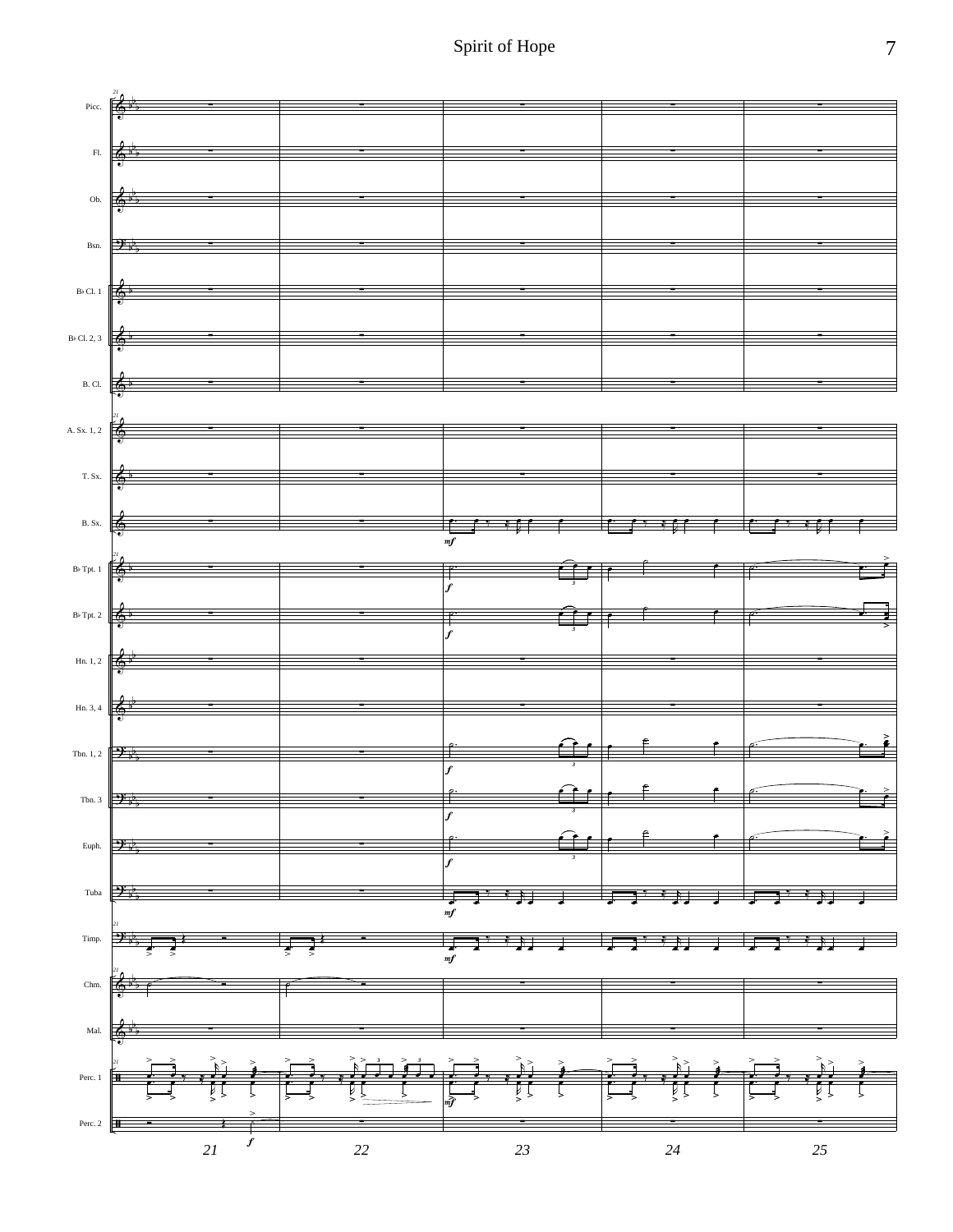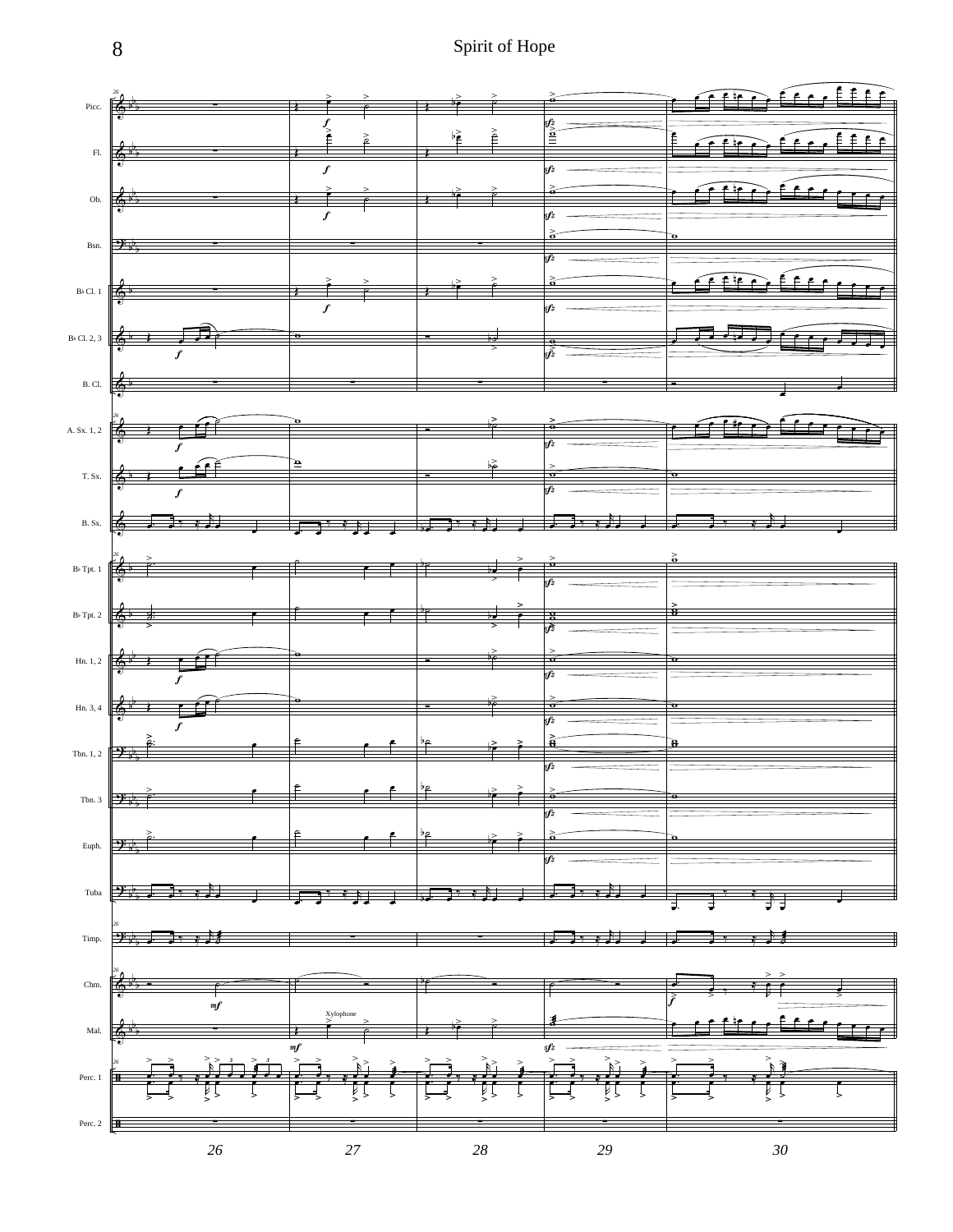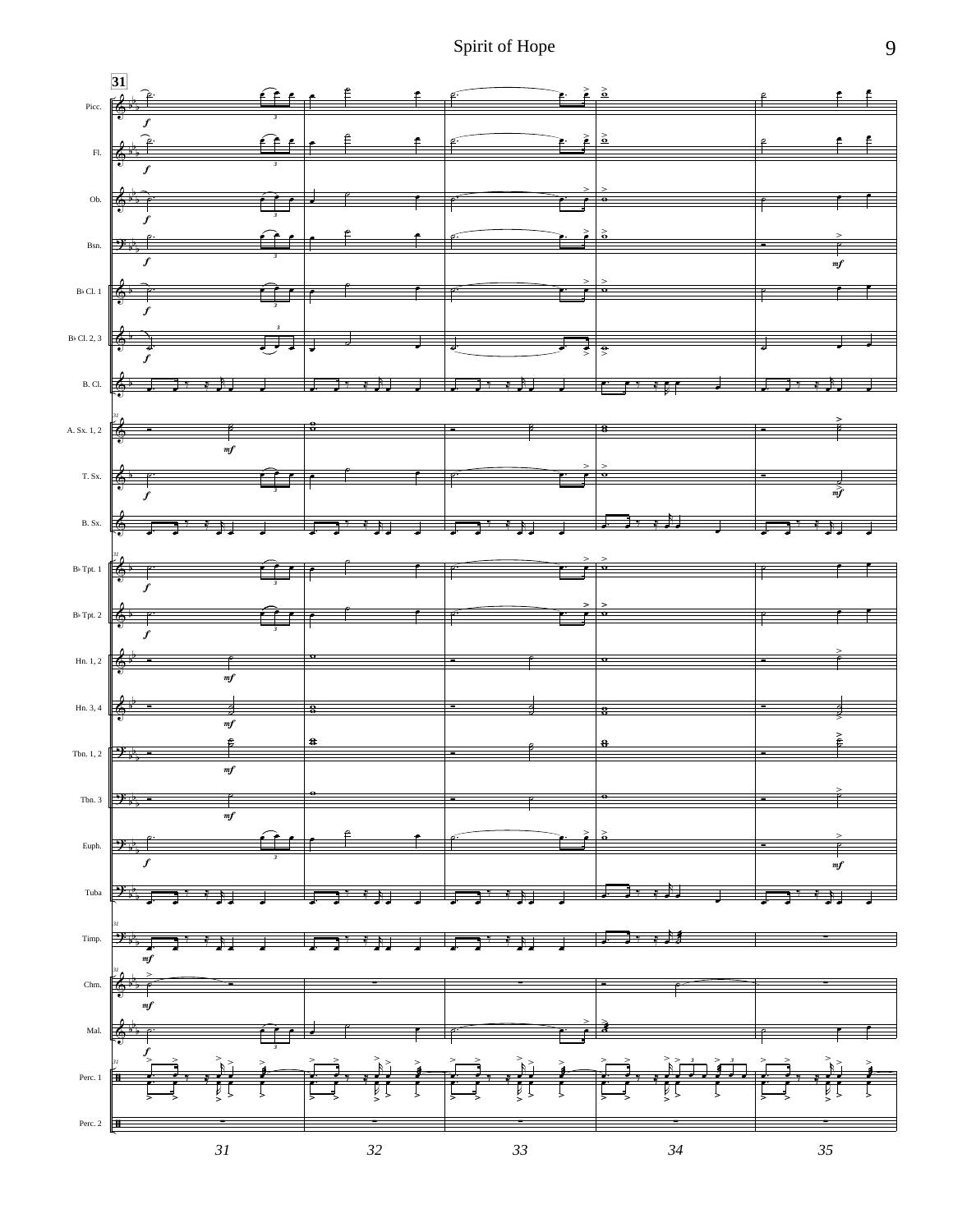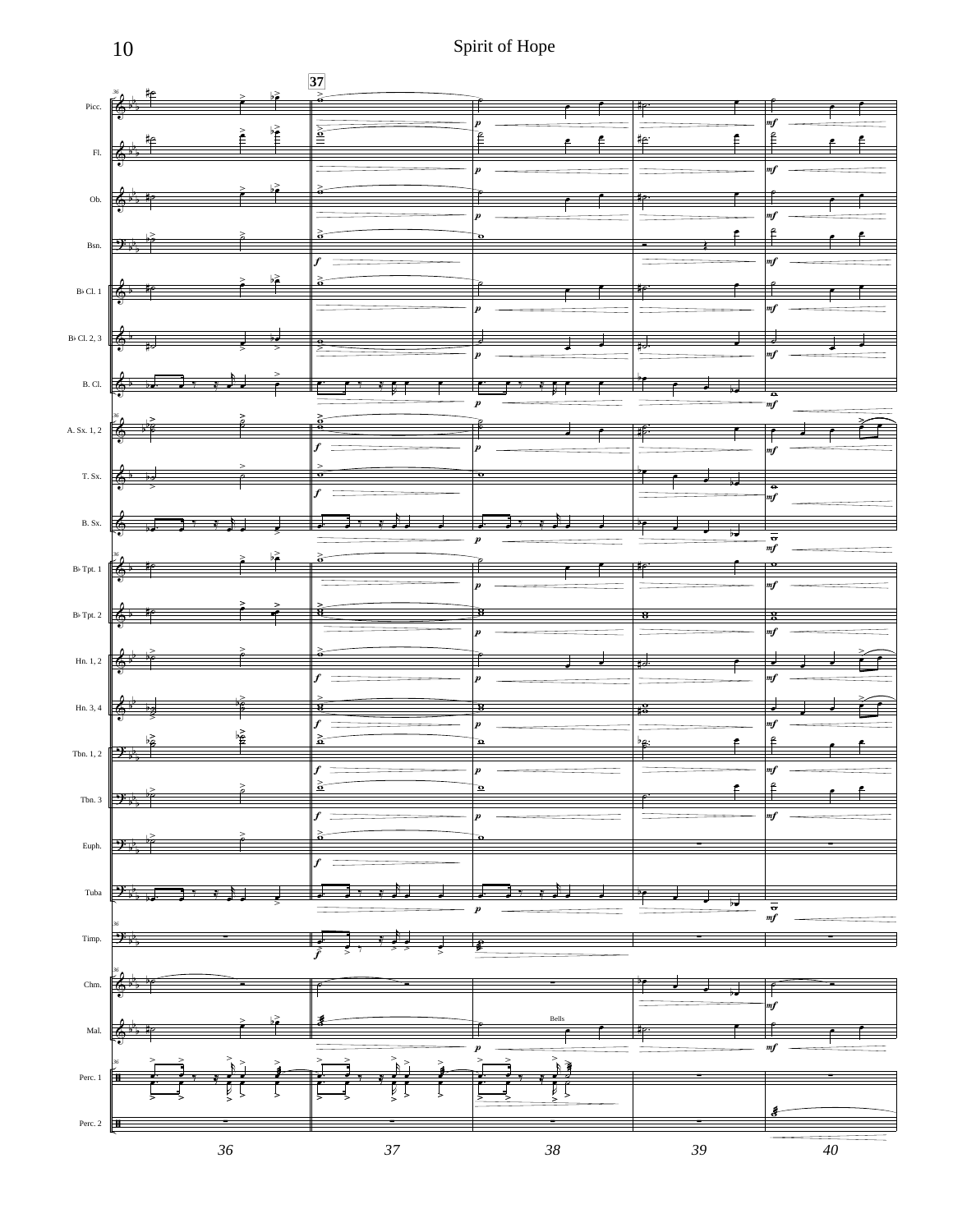

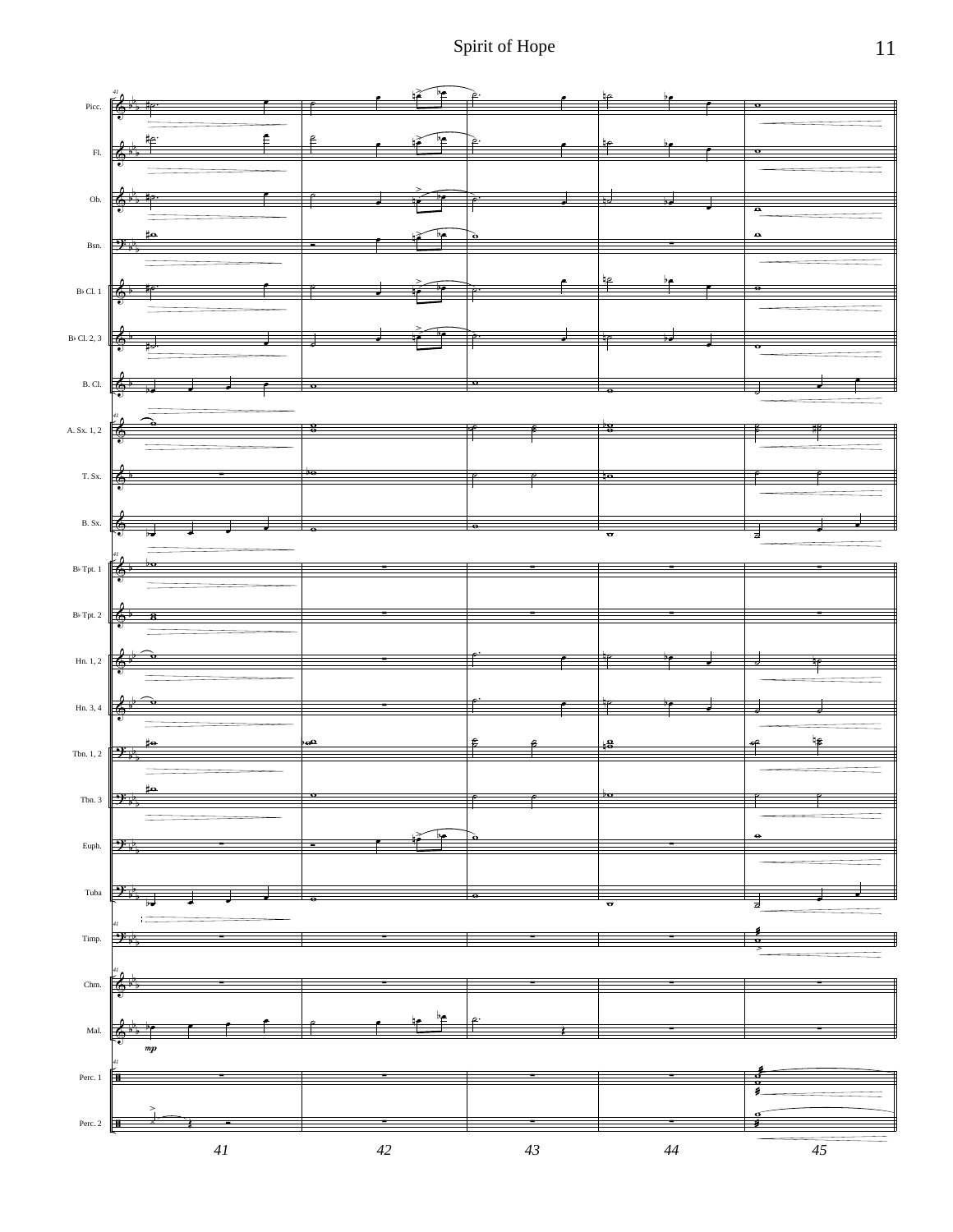